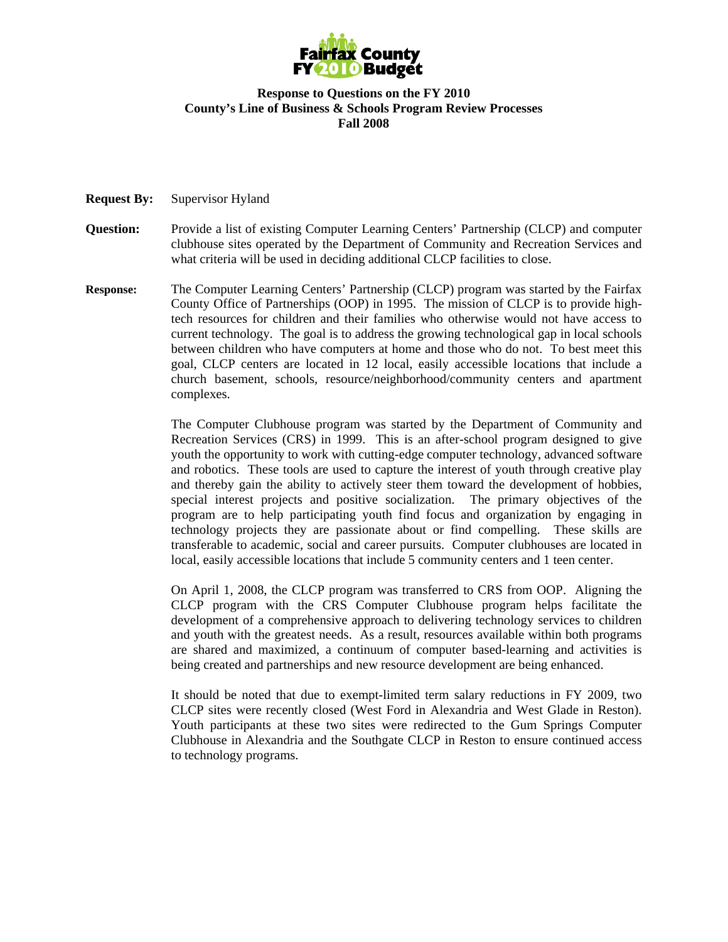

#### **Response to Questions on the FY 2010 County's Line of Business & Schools Program Review Processes Fall 2008**

#### **Request By:** Supervisor Hyland

- **Question:** Provide a list of existing Computer Learning Centers' Partnership (CLCP) and computer clubhouse sites operated by the Department of Community and Recreation Services and what criteria will be used in deciding additional CLCP facilities to close.
- **Response:** The Computer Learning Centers' Partnership (CLCP) program was started by the Fairfax County Office of Partnerships (OOP) in 1995. The mission of CLCP is to provide hightech resources for children and their families who otherwise would not have access to current technology. The goal is to address the growing technological gap in local schools between children who have computers at home and those who do not. To best meet this goal, CLCP centers are located in 12 local, easily accessible locations that include a church basement, schools, resource/neighborhood/community centers and apartment complexes.

The Computer Clubhouse program was started by the Department of Community and Recreation Services (CRS) in 1999. This is an after-school program designed to give youth the opportunity to work with cutting-edge computer technology, advanced software and robotics. These tools are used to capture the interest of youth through creative play and thereby gain the ability to actively steer them toward the development of hobbies, special interest projects and positive socialization. The primary objectives of the program are to help participating youth find focus and organization by engaging in technology projects they are passionate about or find compelling. These skills are transferable to academic, social and career pursuits. Computer clubhouses are located in local, easily accessible locations that include 5 community centers and 1 teen center.

On April 1, 2008, the CLCP program was transferred to CRS from OOP. Aligning the CLCP program with the CRS Computer Clubhouse program helps facilitate the development of a comprehensive approach to delivering technology services to children and youth with the greatest needs. As a result, resources available within both programs are shared and maximized, a continuum of computer based-learning and activities is being created and partnerships and new resource development are being enhanced.

It should be noted that due to exempt-limited term salary reductions in FY 2009, two CLCP sites were recently closed (West Ford in Alexandria and West Glade in Reston). Youth participants at these two sites were redirected to the Gum Springs Computer Clubhouse in Alexandria and the Southgate CLCP in Reston to ensure continued access to technology programs.